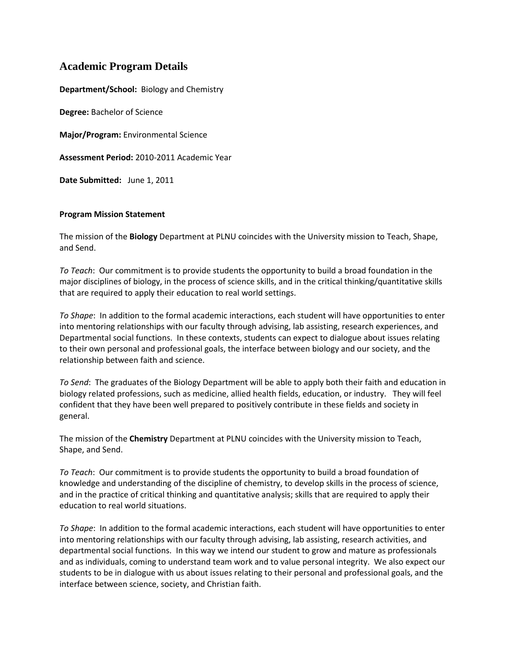# **Academic Program Details**

**Department/School:** Biology and Chemistry

**Degree:** Bachelor of Science

**Major/Program:** Environmental Science

**Assessment Period:** 2010-2011 Academic Year

**Date Submitted:** June 1, 2011

#### **Program Mission Statement**

The mission of the **Biology** Department at PLNU coincides with the University mission to Teach, Shape, and Send.

*To Teach*: Our commitment is to provide students the opportunity to build a broad foundation in the major disciplines of biology, in the process of science skills, and in the critical thinking/quantitative skills that are required to apply their education to real world settings.

*To Shape*: In addition to the formal academic interactions, each student will have opportunities to enter into mentoring relationships with our faculty through advising, lab assisting, research experiences, and Departmental social functions. In these contexts, students can expect to dialogue about issues relating to their own personal and professional goals, the interface between biology and our society, and the relationship between faith and science.

*To Send*: The graduates of the Biology Department will be able to apply both their faith and education in biology related professions, such as medicine, allied health fields, education, or industry. They will feel confident that they have been well prepared to positively contribute in these fields and society in general.

The mission of the **Chemistry** Department at PLNU coincides with the University mission to Teach, Shape, and Send.

*To Teach*: Our commitment is to provide students the opportunity to build a broad foundation of knowledge and understanding of the discipline of chemistry, to develop skills in the process of science, and in the practice of critical thinking and quantitative analysis; skills that are required to apply their education to real world situations.

*To Shape*: In addition to the formal academic interactions, each student will have opportunities to enter into mentoring relationships with our faculty through advising, lab assisting, research activities, and departmental social functions. In this way we intend our student to grow and mature as professionals and as individuals, coming to understand team work and to value personal integrity. We also expect our students to be in dialogue with us about issues relating to their personal and professional goals, and the interface between science, society, and Christian faith.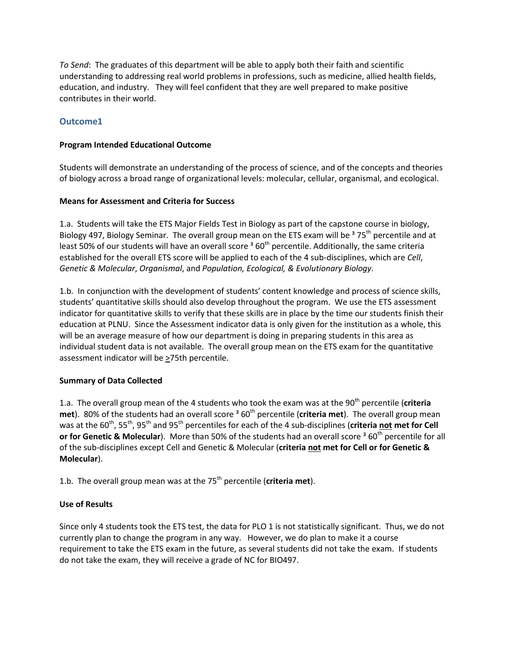*To Send*: The graduates of this department will be able to apply both their faith and scientific understanding to addressing real world problems in professions, such as medicine, allied health fields, education, and industry. They will feel confident that they are well prepared to make positive contributes in their world.

## **Outcome1**

## **Program Intended Educational Outcome**

Students will demonstrate an understanding of the process of science, and of the concepts and theories of biology across a broad range of organizational levels: molecular, cellular, organismal, and ecological.

## **Means for Assessment and Criteria for Success**

1.a. Students will take the ETS Major Fields Test in Biology as part of the capstone course in biology, Biology 497, Biology Seminar. The overall group mean on the ETS exam will be  $375<sup>th</sup>$  percentile and at least 50% of our students will have an overall score<sup>3</sup> 60<sup>th</sup> percentile. Additionally, the same criteria established for the overall ETS score will be applied to each of the 4 sub-disciplines, which are *Cell*, *Genetic & Molecular*, *Organismal*, and *Population, Ecological, & Evolutionary Biology*.

1.b. In conjunction with the development of students' content knowledge and process of science skills, students' quantitative skills should also develop throughout the program. We use the ETS assessment indicator for quantitative skills to verify that these skills are in place by the time our students finish their education at PLNU. Since the Assessment indicator data is only given for the institution as a whole, this will be an average measure of how our department is doing in preparing students in this area as individual student data is not available. The overall group mean on the ETS exam for the quantitative assessment indicator will be  $\geq$ 75th percentile.

## **Summary of Data Collected**

1.a. The overall group mean of the 4 students who took the exam was at the 90<sup>th</sup> percentile (**criteria met**). 80% of the students had an overall score <sup>3</sup> 60<sup>th</sup> percentile (**criteria met**). The overall group mean was at the 60<sup>th</sup>, 55<sup>th</sup>, 95<sup>th</sup> and 95<sup>th</sup> percentiles for each of the 4 sub-disciplines (**criteria not met for Cell**) **or for Genetic & Molecular**). More than 50% of the students had an overall score <sup>3</sup> 60<sup>th</sup> percentile for all of the sub-disciplines except Cell and Genetic & Molecular (**criteria not met for Cell or for Genetic & Molecular**).

1.b. The overall group mean was at the 75<sup>th</sup> percentile (criteria met).

## **Use of Results**

Since only 4 students took the ETS test, the data for PLO 1 is not statistically significant. Thus, we do not currently plan to change the program in any way. However, we do plan to make it a course requirement to take the ETS exam in the future, as several students did not take the exam. If students do not take the exam, they will receive a grade of NC for BIO497.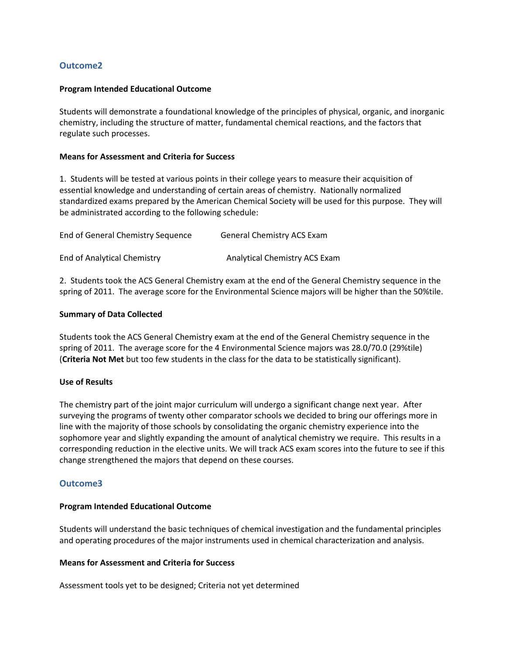## **Outcome2**

#### **Program Intended Educational Outcome**

Students will demonstrate a foundational knowledge of the principles of physical, organic, and inorganic chemistry, including the structure of matter, fundamental chemical reactions, and the factors that regulate such processes.

#### **Means for Assessment and Criteria for Success**

1. Students will be tested at various points in their college years to measure their acquisition of essential knowledge and understanding of certain areas of chemistry. Nationally normalized standardized exams prepared by the American Chemical Society will be used for this purpose. They will be administrated according to the following schedule:

| End of General Chemistry Sequence | <b>General Chemistry ACS Exam</b>    |
|-----------------------------------|--------------------------------------|
| End of Analytical Chemistry       | <b>Analytical Chemistry ACS Exam</b> |

2. Students took the ACS General Chemistry exam at the end of the General Chemistry sequence in the spring of 2011. The average score for the Environmental Science majors will be higher than the 50%tile.

#### **Summary of Data Collected**

Students took the ACS General Chemistry exam at the end of the General Chemistry sequence in the spring of 2011. The average score for the 4 Environmental Science majors was 28.0/70.0 (29%tile) (**Criteria Not Met** but too few students in the class for the data to be statistically significant).

## **Use of Results**

The chemistry part of the joint major curriculum will undergo a significant change next year. After surveying the programs of twenty other comparator schools we decided to bring our offerings more in line with the majority of those schools by consolidating the organic chemistry experience into the sophomore year and slightly expanding the amount of analytical chemistry we require. This results in a corresponding reduction in the elective units. We will track ACS exam scores into the future to see if this change strengthened the majors that depend on these courses.

## **Outcome3**

#### **Program Intended Educational Outcome**

Students will understand the basic techniques of chemical investigation and the fundamental principles and operating procedures of the major instruments used in chemical characterization and analysis.

#### **Means for Assessment and Criteria for Success**

Assessment tools yet to be designed; Criteria not yet determined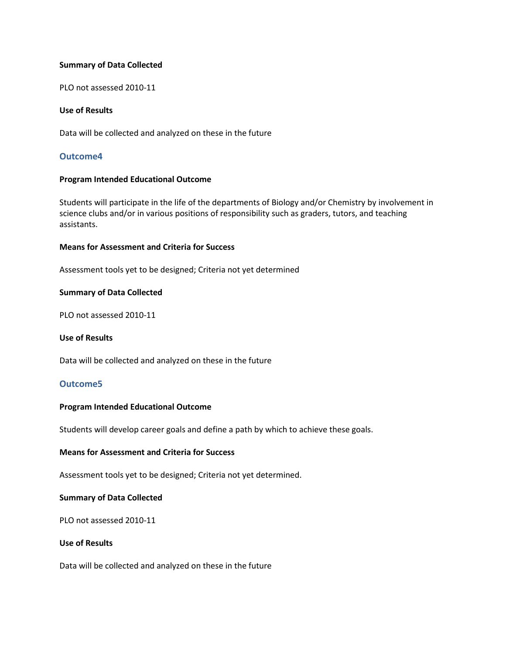#### **Summary of Data Collected**

PLO not assessed 2010-11

#### **Use of Results**

Data will be collected and analyzed on these in the future

## **Outcome4**

#### **Program Intended Educational Outcome**

Students will participate in the life of the departments of Biology and/or Chemistry by involvement in science clubs and/or in various positions of responsibility such as graders, tutors, and teaching assistants.

#### **Means for Assessment and Criteria for Success**

Assessment tools yet to be designed; Criteria not yet determined

#### **Summary of Data Collected**

PLO not assessed 2010-11

#### **Use of Results**

Data will be collected and analyzed on these in the future

## **Outcome5**

#### **Program Intended Educational Outcome**

Students will develop career goals and define a path by which to achieve these goals.

#### **Means for Assessment and Criteria for Success**

Assessment tools yet to be designed; Criteria not yet determined.

#### **Summary of Data Collected**

PLO not assessed 2010-11

### **Use of Results**

Data will be collected and analyzed on these in the future